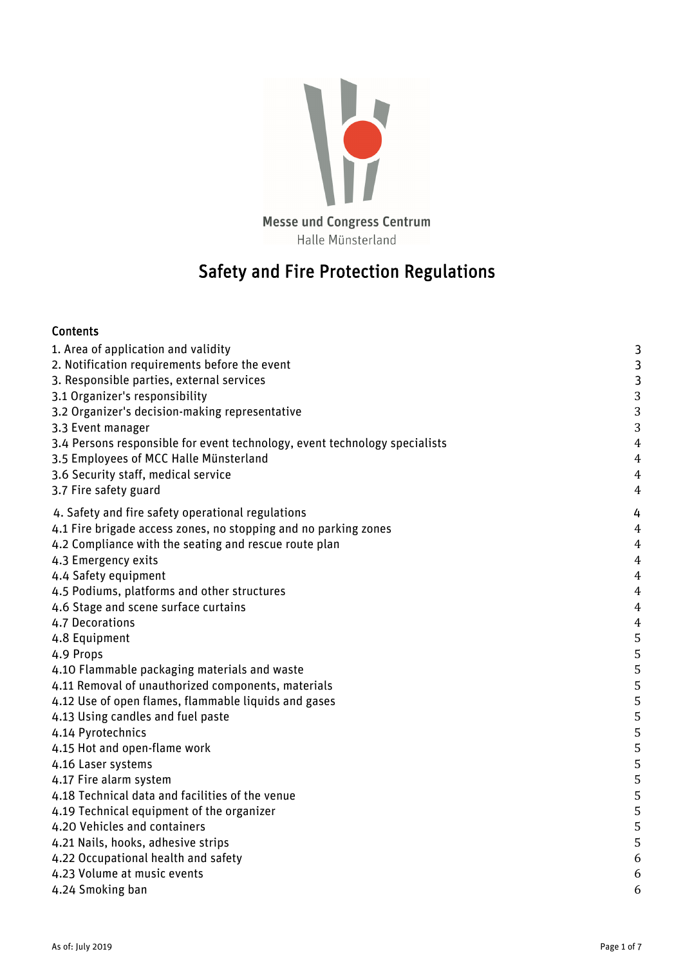

| <b>Contents</b>                                                            |                |
|----------------------------------------------------------------------------|----------------|
| 1. Area of application and validity                                        | 3              |
| 2. Notification requirements before the event                              | $\mathbf{3}$   |
| 3. Responsible parties, external services                                  | $\mathbf{3}$   |
| 3.1 Organizer's responsibility                                             | 3              |
| 3.2 Organizer's decision-making representative                             | 3              |
| 3.3 Event manager                                                          | 3              |
| 3.4 Persons responsible for event technology, event technology specialists | $\overline{4}$ |
| 3.5 Employees of MCC Halle Münsterland                                     | $\overline{4}$ |
| 3.6 Security staff, medical service                                        | $\overline{4}$ |
| 3.7 Fire safety guard                                                      | $\overline{4}$ |
| 4. Safety and fire safety operational regulations                          | 4              |
| 4.1 Fire brigade access zones, no stopping and no parking zones            | $\overline{4}$ |
| 4.2 Compliance with the seating and rescue route plan                      | $\overline{4}$ |
| 4.3 Emergency exits                                                        | $\overline{4}$ |
| 4.4 Safety equipment                                                       | $\overline{4}$ |
| 4.5 Podiums, platforms and other structures                                | $\overline{4}$ |
| 4.6 Stage and scene surface curtains                                       | $\overline{4}$ |
| 4.7 Decorations                                                            | $\overline{4}$ |
| 4.8 Equipment                                                              | 5              |
| 4.9 Props                                                                  | 5              |
| 4.10 Flammable packaging materials and waste                               | 5              |
| 4.11 Removal of unauthorized components, materials                         | 5              |
| 4.12 Use of open flames, flammable liquids and gases                       | 5              |
| 4.13 Using candles and fuel paste                                          | 5              |
| 4.14 Pyrotechnics                                                          | 5              |
| 4.15 Hot and open-flame work                                               | 5              |
| 4.16 Laser systems                                                         | 5              |
| 4.17 Fire alarm system                                                     | 5              |
| 4.18 Technical data and facilities of the venue                            | 5              |
| 4.19 Technical equipment of the organizer                                  | 5              |
| 4.20 Vehicles and containers                                               | 5              |
| 4.21 Nails, hooks, adhesive strips                                         | 5              |
| 4.22 Occupational health and safety                                        | 6              |
| 4.23 Volume at music events                                                | 6              |
| 4.24 Smoking ban                                                           | 6              |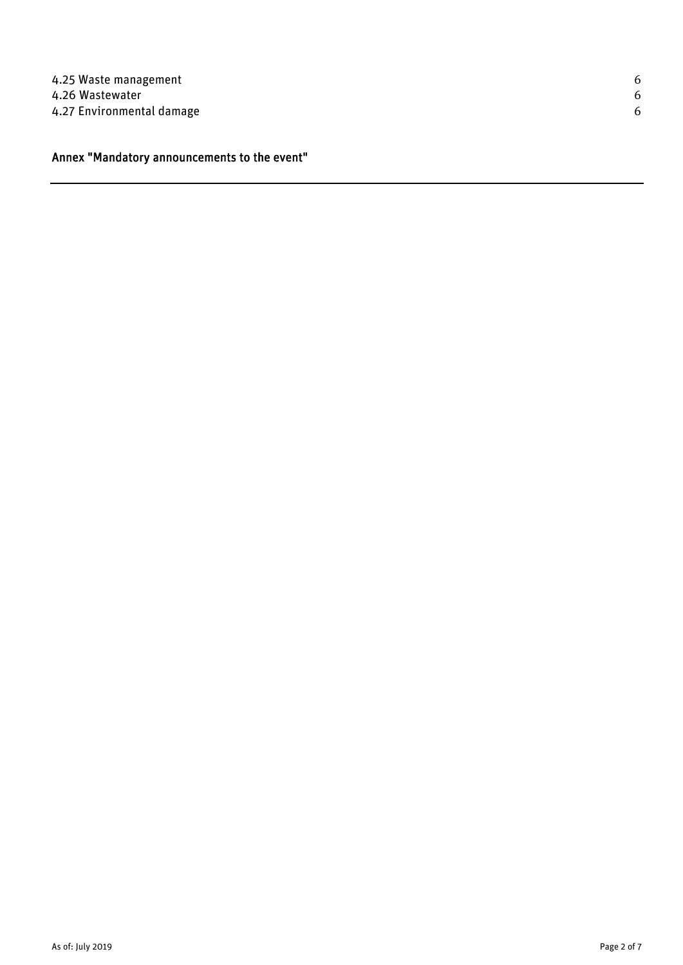## Annex "Mandatory announcements to the event"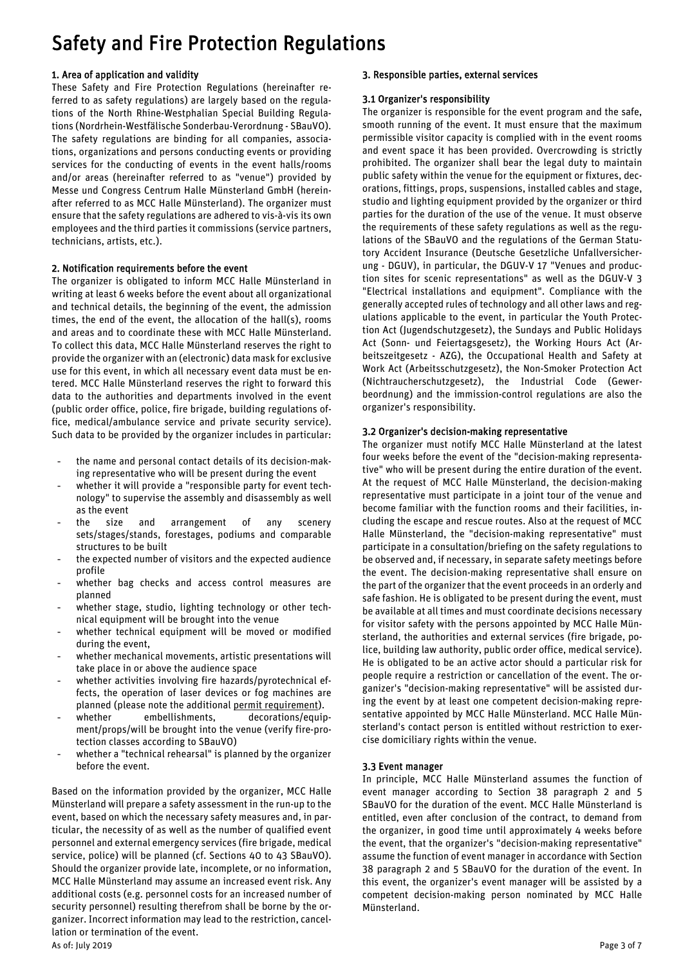## 1. Area of application and validity

These Safety and Fire Protection Regulations (hereinafter referred to as safety regulations) are largely based on the regulations of the North Rhine-Westphalian Special Building Regulations (Nordrhein-Westfälische Sonderbau-Verordnung - SBauVO). The safety regulations are binding for all companies, associations, organizations and persons conducting events or providing services for the conducting of events in the event halls/rooms and/or areas (hereinafter referred to as "venue") provided by Messe und Congress Centrum Halle Münsterland GmbH (hereinafter referred to as MCC Halle Münsterland). The organizer must ensure that the safety regulations are adhered to vis-à-vis its own employees and the third parties it commissions (service partners, technicians, artists, etc.).

## 2. Notification requirements before the event

The organizer is obligated to inform MCC Halle Münsterland in writing at least 6 weeks before the event about all organizational and technical details, the beginning of the event, the admission times, the end of the event, the allocation of the hall(s), rooms and areas and to coordinate these with MCC Halle Münsterland. To collect this data, MCC Halle Münsterland reserves the right to provide the organizer with an (electronic) data mask for exclusive use for this event, in which all necessary event data must be entered. MCC Halle Münsterland reserves the right to forward this data to the authorities and departments involved in the event (public order office, police, fire brigade, building regulations office, medical/ambulance service and private security service). Such data to be provided by the organizer includes in particular:

- the name and personal contact details of its decision-making representative who will be present during the event
- whether it will provide a "responsible party for event technology" to supervise the assembly and disassembly as well as the event
- the size and arrangement of any scenery sets/stages/stands, forestages, podiums and comparable structures to be built
- the expected number of visitors and the expected audience profile
- whether bag checks and access control measures are planned
- whether stage, studio, lighting technology or other technical equipment will be brought into the venue
- whether technical equipment will be moved or modified during the event,
- whether mechanical movements, artistic presentations will take place in or above the audience space
- whether activities involving fire hazards/pyrotechnical effects, the operation of laser devices or fog machines are planned (please note the additional permit requirement).
- whether embellishments, decorations/equipment/props/will be brought into the venue (verify fire-protection classes according to SBauVO)
- whether a "technical rehearsal" is planned by the organizer before the event.

As of: July 2019 Page 3 of 7 Based on the information provided by the organizer, MCC Halle Münsterland will prepare a safety assessment in the run-up to the event, based on which the necessary safety measures and, in particular, the necessity of as well as the number of qualified event personnel and external emergency services (fire brigade, medical service, police) will be planned (cf. Sections 40 to 43 SBauVO). Should the organizer provide late, incomplete, or no information, MCC Halle Münsterland may assume an increased event risk. Any additional costs (e.g. personnel costs for an increased number of security personnel) resulting therefrom shall be borne by the organizer. Incorrect information may lead to the restriction, cancellation or termination of the event.

## 3. Responsible parties, external services

## 3.1 Organizer's responsibility

The organizer is responsible for the event program and the safe, smooth running of the event. It must ensure that the maximum permissible visitor capacity is complied with in the event rooms and event space it has been provided. Overcrowding is strictly prohibited. The organizer shall bear the legal duty to maintain public safety within the venue for the equipment or fixtures, decorations, fittings, props, suspensions, installed cables and stage, studio and lighting equipment provided by the organizer or third parties for the duration of the use of the venue. It must observe the requirements of these safety regulations as well as the regulations of the SBauVO and the regulations of the German Statutory Accident Insurance (Deutsche Gesetzliche Unfallversicherung - DGUV), in particular, the DGUV-V 17 "Venues and production sites for scenic representations" as well as the DGUV-V 3 "Electrical installations and equipment". Compliance with the generally accepted rules of technology and all other laws and regulations applicable to the event, in particular the Youth Protection Act (Jugendschutzgesetz), the Sundays and Public Holidays Act (Sonn- und Feiertagsgesetz), the Working Hours Act (Arbeitszeitgesetz - AZG), the Occupational Health and Safety at Work Act (Arbeitsschutzgesetz), the Non-Smoker Protection Act (Nichtraucherschutzgesetz), the Industrial Code (Gewerbeordnung) and the immission-control regulations are also the organizer's responsibility.

## 3.2 Organizer's decision-making representative

The organizer must notify MCC Halle Münsterland at the latest four weeks before the event of the "decision-making representative" who will be present during the entire duration of the event. At the request of MCC Halle Münsterland, the decision-making representative must participate in a joint tour of the venue and become familiar with the function rooms and their facilities, including the escape and rescue routes. Also at the request of MCC Halle Münsterland, the "decision-making representative" must participate in a consultation/briefing on the safety regulations to be observed and, if necessary, in separate safety meetings before the event. The decision-making representative shall ensure on the part of the organizer that the event proceeds in an orderly and safe fashion. He is obligated to be present during the event, must be available at all times and must coordinate decisions necessary for visitor safety with the persons appointed by MCC Halle Münsterland, the authorities and external services (fire brigade, police, building law authority, public order office, medical service). He is obligated to be an active actor should a particular risk for people require a restriction or cancellation of the event. The organizer's "decision-making representative" will be assisted during the event by at least one competent decision-making representative appointed by MCC Halle Münsterland. MCC Halle Münsterland's contact person is entitled without restriction to exercise domiciliary rights within the venue.

## 3.3 Event manager

In principle, MCC Halle Münsterland assumes the function of event manager according to Section 38 paragraph 2 and 5 SBauVO for the duration of the event. MCC Halle Münsterland is entitled, even after conclusion of the contract, to demand from the organizer, in good time until approximately 4 weeks before the event, that the organizer's "decision-making representative" assume the function of event manager in accordance with Section 38 paragraph 2 and 5 SBauVO for the duration of the event. In this event, the organizer's event manager will be assisted by a competent decision-making person nominated by MCC Halle Münsterland.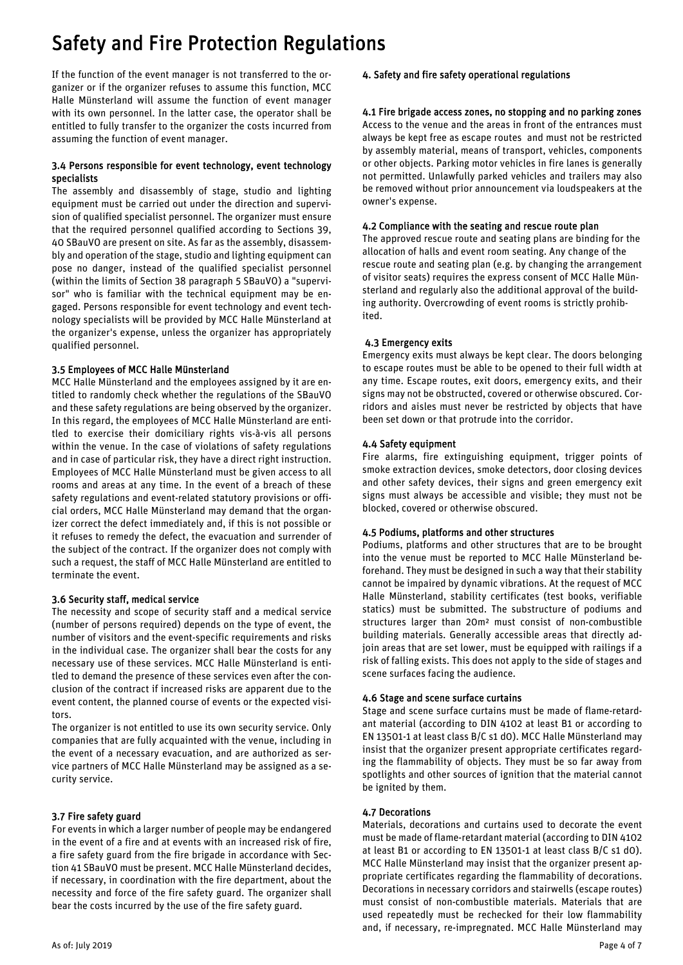If the function of the event manager is not transferred to the organizer or if the organizer refuses to assume this function, MCC Halle Münsterland will assume the function of event manager with its own personnel. In the latter case, the operator shall be entitled to fully transfer to the organizer the costs incurred from assuming the function of event manager.

## 3.4 Persons responsible for event technology, event technology specialists

The assembly and disassembly of stage, studio and lighting equipment must be carried out under the direction and supervision of qualified specialist personnel. The organizer must ensure that the required personnel qualified according to Sections 39, 40 SBauVO are present on site. As far as the assembly, disassembly and operation of the stage, studio and lighting equipment can pose no danger, instead of the qualified specialist personnel (within the limits of Section 38 paragraph 5 SBauVO) a "supervisor" who is familiar with the technical equipment may be engaged. Persons responsible for event technology and event technology specialists will be provided by MCC Halle Münsterland at the organizer's expense, unless the organizer has appropriately qualified personnel.

## 3.5 Employees of MCC Halle Münsterland

MCC Halle Münsterland and the employees assigned by it are entitled to randomly check whether the regulations of the SBauVO and these safety regulations are being observed by the organizer. In this regard, the employees of MCC Halle Münsterland are entitled to exercise their domiciliary rights vis-à-vis all persons within the venue. In the case of violations of safety regulations and in case of particular risk, they have a direct right instruction. Employees of MCC Halle Münsterland must be given access to all rooms and areas at any time. In the event of a breach of these safety regulations and event-related statutory provisions or official orders, MCC Halle Münsterland may demand that the organizer correct the defect immediately and, if this is not possible or it refuses to remedy the defect, the evacuation and surrender of the subject of the contract. If the organizer does not comply with such a request, the staff of MCC Halle Münsterland are entitled to terminate the event.

## 3.6 Security staff, medical service

The necessity and scope of security staff and a medical service (number of persons required) depends on the type of event, the number of visitors and the event-specific requirements and risks in the individual case. The organizer shall bear the costs for any necessary use of these services. MCC Halle Münsterland is entitled to demand the presence of these services even after the conclusion of the contract if increased risks are apparent due to the event content, the planned course of events or the expected visitors.

The organizer is not entitled to use its own security service. Only companies that are fully acquainted with the venue, including in the event of a necessary evacuation, and are authorized as service partners of MCC Halle Münsterland may be assigned as a security service.

## 3.7 Fire safety guard

For events in which a larger number of people may be endangered in the event of a fire and at events with an increased risk of fire, a fire safety guard from the fire brigade in accordance with Section 41 SBauVO must be present. MCC Halle Münsterland decides, if necessary, in coordination with the fire department, about the necessity and force of the fire safety guard. The organizer shall bear the costs incurred by the use of the fire safety guard.

## 4. Safety and fire safety operational regulations

### 4.1 Fire brigade access zones, no stopping and no parking zones

Access to the venue and the areas in front of the entrances must always be kept free as escape routes and must not be restricted by assembly material, means of transport, vehicles, components or other objects. Parking motor vehicles in fire lanes is generally not permitted. Unlawfully parked vehicles and trailers may also be removed without prior announcement via loudspeakers at the owner's expense.

### 4.2 Compliance with the seating and rescue route plan

The approved rescue route and seating plans are binding for the allocation of halls and event room seating. Any change of the rescue route and seating plan (e.g. by changing the arrangement of visitor seats) requires the express consent of MCC Halle Münsterland and regularly also the additional approval of the building authority. Overcrowding of event rooms is strictly prohibited.

## 4.3 Emergency exits

Emergency exits must always be kept clear. The doors belonging to escape routes must be able to be opened to their full width at any time. Escape routes, exit doors, emergency exits, and their signs may not be obstructed, covered or otherwise obscured. Corridors and aisles must never be restricted by objects that have been set down or that protrude into the corridor.

## 4.4 Safety equipment

Fire alarms, fire extinguishing equipment, trigger points of smoke extraction devices, smoke detectors, door closing devices and other safety devices, their signs and green emergency exit signs must always be accessible and visible; they must not be blocked, covered or otherwise obscured.

## 4.5 Podiums, platforms and other structures

Podiums, platforms and other structures that are to be brought into the venue must be reported to MCC Halle Münsterland beforehand. They must be designed in such a way that their stability cannot be impaired by dynamic vibrations. At the request of MCC Halle Münsterland, stability certificates (test books, verifiable statics) must be submitted. The substructure of podiums and structures larger than 20m² must consist of non-combustible building materials. Generally accessible areas that directly adjoin areas that are set lower, must be equipped with railings if a risk of falling exists. This does not apply to the side of stages and scene surfaces facing the audience.

## 4.6 Stage and scene surface curtains

Stage and scene surface curtains must be made of flame-retardant material (according to DIN 4102 at least B1 or according to EN 13501-1 at least class B/C s1 d0). MCC Halle Münsterland may insist that the organizer present appropriate certificates regarding the flammability of objects. They must be so far away from spotlights and other sources of ignition that the material cannot be ignited by them.

## 4.7 Decorations

Materials, decorations and curtains used to decorate the event must be made of flame-retardant material (according to DIN 4102 at least B1 or according to EN 13501-1 at least class B/C s1 d0). MCC Halle Münsterland may insist that the organizer present appropriate certificates regarding the flammability of decorations. Decorations in necessary corridors and stairwells (escape routes) must consist of non-combustible materials. Materials that are used repeatedly must be rechecked for their low flammability and, if necessary, re-impregnated. MCC Halle Münsterland may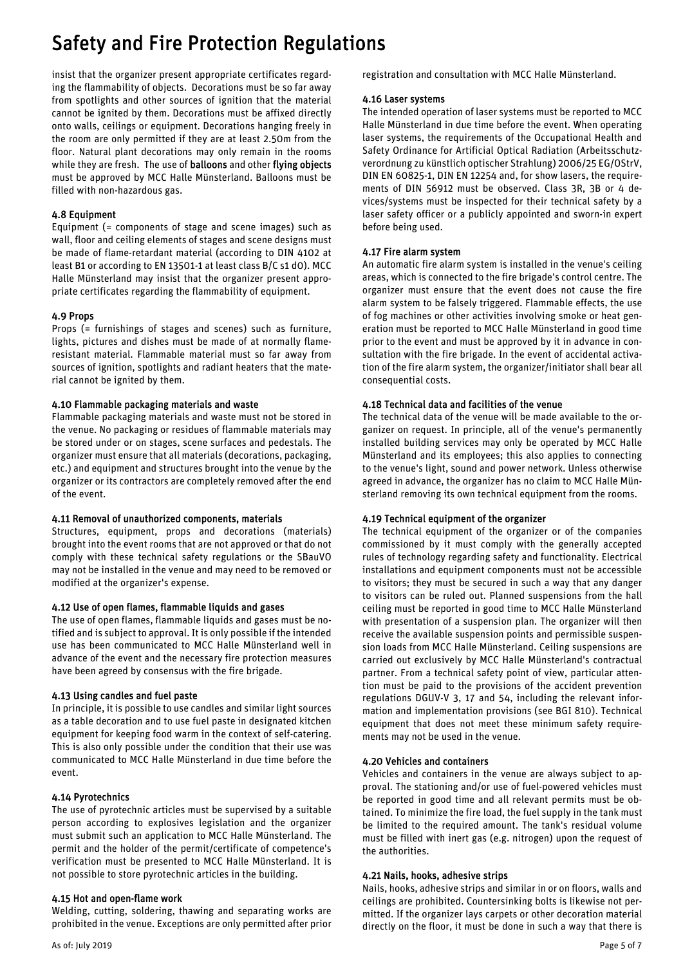insist that the organizer present appropriate certificates regarding the flammability of objects. Decorations must be so far away from spotlights and other sources of ignition that the material cannot be ignited by them. Decorations must be affixed directly onto walls, ceilings or equipment. Decorations hanging freely in the room are only permitted if they are at least 2.50m from the floor. Natural plant decorations may only remain in the rooms while they are fresh. The use of balloons and other flying objects must be approved by MCC Halle Münsterland. Balloons must be filled with non-hazardous gas.

## 4.8 Equipment

Equipment (= components of stage and scene images) such as wall, floor and ceiling elements of stages and scene designs must be made of flame-retardant material (according to DIN 4102 at least B1 or according to EN 13501-1 at least class B/C s1 d0). MCC Halle Münsterland may insist that the organizer present appropriate certificates regarding the flammability of equipment.

## 4.9 Props

Props (= furnishings of stages and scenes) such as furniture, lights, pictures and dishes must be made of at normally flameresistant material. Flammable material must so far away from sources of ignition, spotlights and radiant heaters that the material cannot be ignited by them.

## 4.10 Flammable packaging materials and waste

Flammable packaging materials and waste must not be stored in the venue. No packaging or residues of flammable materials may be stored under or on stages, scene surfaces and pedestals. The organizer must ensure that all materials (decorations, packaging, etc.) and equipment and structures brought into the venue by the organizer or its contractors are completely removed after the end of the event.

## 4.11 Removal of unauthorized components, materials

Structures, equipment, props and decorations (materials) brought into the event rooms that are not approved or that do not comply with these technical safety regulations or the SBauVO may not be installed in the venue and may need to be removed or modified at the organizer's expense.

## 4.12 Use of open flames, flammable liquids and gases

The use of open flames, flammable liquids and gases must be notified and is subject to approval. It is only possible if the intended use has been communicated to MCC Halle Münsterland well in advance of the event and the necessary fire protection measures have been agreed by consensus with the fire brigade.

## 4.13 Using candles and fuel paste

In principle, it is possible to use candles and similar light sources as a table decoration and to use fuel paste in designated kitchen equipment for keeping food warm in the context of self-catering. This is also only possible under the condition that their use was communicated to MCC Halle Münsterland in due time before the event.

## 4.14 Pyrotechnics

The use of pyrotechnic articles must be supervised by a suitable person according to explosives legislation and the organizer must submit such an application to MCC Halle Münsterland. The permit and the holder of the permit/certificate of competence's verification must be presented to MCC Halle Münsterland. It is not possible to store pyrotechnic articles in the building.

## 4.15 Hot and open-flame work

Welding, cutting, soldering, thawing and separating works are prohibited in the venue. Exceptions are only permitted after prior registration and consultation with MCC Halle Münsterland.

## 4.16 Laser systems

The intended operation of laser systems must be reported to MCC Halle Münsterland in due time before the event. When operating laser systems, the requirements of the Occupational Health and Safety Ordinance for Artificial Optical Radiation (Arbeitsschutzverordnung zu künstlich optischer Strahlung) 2006/25 EG/OStrV, DIN EN 60825-1, DIN EN 12254 and, for show lasers, the requirements of DIN 56912 must be observed. Class 3R, 3B or 4 devices/systems must be inspected for their technical safety by a laser safety officer or a publicly appointed and sworn-in expert before being used.

## 4.17 Fire alarm system

An automatic fire alarm system is installed in the venue's ceiling areas, which is connected to the fire brigade's control centre. The organizer must ensure that the event does not cause the fire alarm system to be falsely triggered. Flammable effects, the use of fog machines or other activities involving smoke or heat generation must be reported to MCC Halle Münsterland in good time prior to the event and must be approved by it in advance in consultation with the fire brigade. In the event of accidental activation of the fire alarm system, the organizer/initiator shall bear all consequential costs.

## 4.18 Technical data and facilities of the venue

The technical data of the venue will be made available to the organizer on request. In principle, all of the venue's permanently installed building services may only be operated by MCC Halle Münsterland and its employees; this also applies to connecting to the venue's light, sound and power network. Unless otherwise agreed in advance, the organizer has no claim to MCC Halle Münsterland removing its own technical equipment from the rooms.

## 4.19 Technical equipment of the organizer

The technical equipment of the organizer or of the companies commissioned by it must comply with the generally accepted rules of technology regarding safety and functionality. Electrical installations and equipment components must not be accessible to visitors; they must be secured in such a way that any danger to visitors can be ruled out. Planned suspensions from the hall ceiling must be reported in good time to MCC Halle Münsterland with presentation of a suspension plan. The organizer will then receive the available suspension points and permissible suspension loads from MCC Halle Münsterland. Ceiling suspensions are carried out exclusively by MCC Halle Münsterland's contractual partner. From a technical safety point of view, particular attention must be paid to the provisions of the accident prevention regulations DGUV-V 3, 17 and 54, including the relevant information and implementation provisions (see BGI 810). Technical equipment that does not meet these minimum safety requirements may not be used in the venue.

## 4.20 Vehicles and containers

Vehicles and containers in the venue are always subject to approval. The stationing and/or use of fuel-powered vehicles must be reported in good time and all relevant permits must be obtained. To minimize the fire load, the fuel supply in the tank must be limited to the required amount. The tank's residual volume must be filled with inert gas (e.g. nitrogen) upon the request of the authorities.

## 4.21 Nails, hooks, adhesive strips

Nails, hooks, adhesive strips and similar in or on floors, walls and ceilings are prohibited. Countersinking bolts is likewise not permitted. If the organizer lays carpets or other decoration material directly on the floor, it must be done in such a way that there is